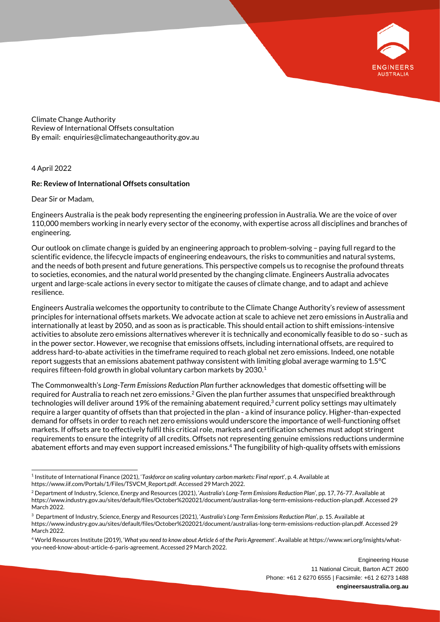

Climate Change Authority Review of International Offsets consultation By email: enquiries@climatechangeauthority.gov.au

### 4 April 2022

### **Re: Review of International Offsets consultation**

Dear Sir or Madam,

Engineers Australia is the peak body representing the engineering profession in Australia. We are the voice of over 110,000 members working in nearly every sector of the economy, with expertise across all disciplines and branches of engineering.

Our outlook on climate change is guided by an engineering approach to problem-solving – paying full regard to the scientific evidence, the lifecycle impacts of engineering endeavours, the risks to communities and natural systems, and the needs of both present and future generations. This perspective compels us to recognise the profound threats to societies, economies, and the natural world presented by the changing climate. Engineers Australia advocates urgent and large-scale actions in every sector to mitigate the causes of climate change, and to adapt and achieve resilience.

Engineers Australia welcomes the opportunity to contribute to the Climate Change Authority's review of assessment principles for international offsets markets. We advocate action at scale to achieve net zero emissions in Australia and internationally at least by 2050, and as soon as is practicable. This should entail action to shift emissions-intensive activities to absolute zero emissions alternatives wherever it is technically and economically feasible to do so - such as in the power sector. However, we recognise that emissions offsets, including international offsets, are required to address hard-to-abate activities in the timeframe required to reach global net zero emissions. Indeed, one notable report suggests that an emissions abatement pathway consistent with limiting global average warming to 1.5°C requires fifteen-fold growth in global voluntary carbon markets by 2030.<sup>1</sup>

The Commonwealth's *Long-Term Emissions Reduction Plan* further acknowledges that domestic offsetting will be required for Australia to reach net zero emissions. $^2$  Given the plan further assumes that unspecified breakthrough technologies will deliver around 19% of the remaining abatement required, $^3$  current policy settings may ultimately require a larger quantity of offsets than that projected in the plan - a kind of insurance policy. Higher-than-expected demand for offsets in order to reach net zero emissions would underscore the importance of well-functioning offset markets. If offsets are to effectively fulfil this critical role, markets and certification schemes must adopt stringent requirements to ensure the integrity of all credits. Offsets not representing genuine emissions reductions undermine abatement efforts and may even support increased emissions.<sup>4</sup> The fungibility of high-quality offsets with emissions

<sup>1</sup> Institute of International Finance (2021), '*Taskforce on scaling voluntary carbon markets: Final report*', p. 4. Available at https://www.iif.com/Portals/1/Files/TSVCM\_Report.pdf. Accessed 29 March 2022.

<sup>2</sup> Department of Industry, Science, Energy and Resources (2021), '*Australia's Long-Term Emissions Reduction Plan*', pp. 17, 76-77. Available at https://www.industry.gov.au/sites/default/files/October%202021/document/australias-long-term-emissions-reduction-plan.pdf. Accessed 29 March 2022.

<sup>3</sup> Department of Industry, Science, Energy and Resources (2021), '*Australia's Long-Term Emissions Reduction Plan*', p. 15. Available at https://www.industry.gov.au/sites/default/files/October%202021/document/australias-long-term-emissions-reduction-plan.pdf. Accessed 29 March 2022.

<sup>4</sup> World Resources Institute (2019), '*What you need to know about Article 6 of the Paris Agreement*'. Available at https://www.wri.org/insights/whatyou-need-know-about-article-6-paris-agreement. Accessed 29 March 2022.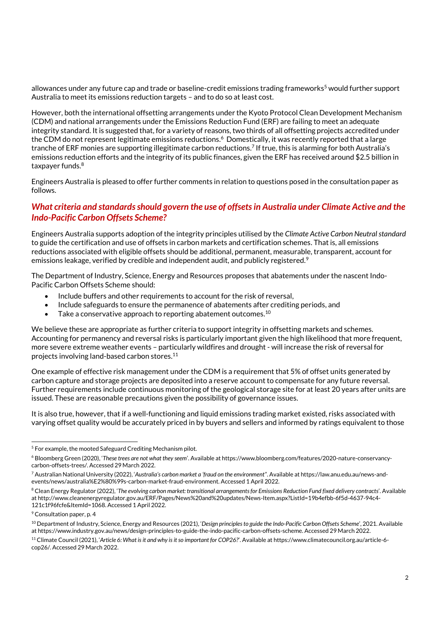allowances under any future cap and trade or baseline-credit emissions trading frameworks <sup>5</sup> would further support Australia to meet its emissions reduction targets – and to do so at least cost.

However, both the international offsetting arrangements under the Kyoto Protocol Clean Development Mechanism (CDM) and national arrangements under the Emissions Reduction Fund (ERF) are failing to meet an adequate integrity standard. It is suggested that, for a variety of reasons, two thirds of all offsetting projects accredited under the CDM do not represent legitimate emissions reductions. <sup>6</sup> Domestically, it was recently reported that a large tranche of ERF monies are supporting illegitimate carbon reductions. 7 If true, this is alarming for both Australia's emissions reduction efforts and the integrity of its public finances, given the ERF has received around \$2.5 billion in taxpayer funds. 8

Engineers Australia is pleased to offer further comments in relation to questions posed in the consultation paper as follows.

## *What criteria and standards should govern the use of offsets in Australia under Climate Active and the Indo-Pacific Carbon Offsets Scheme?*

Engineers Australia supports adoption of the integrity principles utilised by the *Climate Active Carbon Neutral standard*  to guide the certification and use of offsets in carbon markets and certification schemes. That is, all emissions reductions associated with eligible offsets should be additional, permanent, measurable, transparent, account for emissions leakage, verified by credible and independent audit, and publicly registered.<sup>9</sup>

The Department of Industry, Science, Energy and Resources proposes that abatements under the nascent Indo-Pacific Carbon Offsets Scheme should:

- Include buffers and other requirements to account for the risk of reversal,
- Include safeguards to ensure the permanence of abatements after crediting periods, and
- $\bullet$  Take a conservative approach to reporting abatement outcomes.  $^{10}$

We believe these are appropriate as further criteria to support integrity in offsetting markets and schemes. Accounting for permanency and reversal risks is particularly important given the high likelihood that more frequent, more severe extreme weather events – particularly wildfires and drought - will increase the risk of reversal for projects involving land-based carbon stores. 11

One example of effective risk management under the CDM is a requirement that 5% of offset units generated by carbon capture and storage projects are deposited into a reserve account to compensate for any future reversal. Further requirements include continuous monitoring of the geological storage site for at least 20 years after units are issued. These are reasonable precautions given the possibility of governance issues.

It is also true, however, that if a well-functioning and liquid emissions trading market existed, risks associated with varying offset quality would be accurately priced in by buyers and sellers and informed by ratings equivalent to those

 $5$  For example, the mooted Safeguard Crediting Mechanism pilot.

<sup>6</sup> Bloomberg Green (2020), '*These trees are not what they seem*'. Available at https://www.bloomberg.com/features/2020-nature-conservancycarbon-offsets-trees/. Accessed 29 March 2022.

<sup>7</sup> Australian National University (2022), '*Australia's carbon market a 'fraud on the environment'*'. Available at https://law.anu.edu.au/news-andevents/news/australia%E2%80%99s-carbon-market-fraud-environment. Accessed 1 April 2022.

<sup>8</sup> Clean Energy Regulator (2022), '*The evolving carbon market: transitional arrangements for Emissions Reduction Fund fixed delivery contracts*'. Available at http://www.cleanenergyregulator.gov.au/ERF/Pages/News%20and%20updates/News-Item.aspx?ListId=19b4efbb-6f5d-4637-94c4- 121c1f96fcfe&ItemId=1068. Accessed 1 April 2022.

<sup>9</sup> Consultation paper, p. 4

<sup>10</sup> Department of Industry, Science, Energy and Resources (2021), '*Design principles to guide the Indo-Pacific Carbon Offsets Scheme*', 2021. Available at https://www.industry.gov.au/news/design-principles-to-guide-the-indo-pacific-carbon-offsets-scheme. Accessed 29 March 2022.

<sup>&</sup>lt;sup>11</sup> Climate Council (2021), 'Article 6: What is it and why is it so important for COP26?'. Available at https://www.climatecouncil.org.au/article-6cop26/. Accessed 29 March 2022.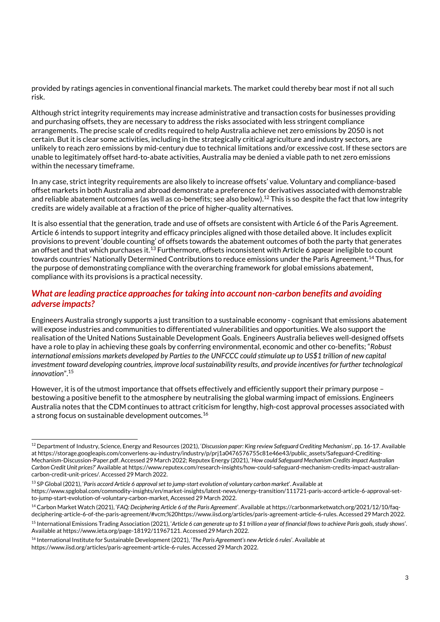provided by ratings agencies in conventional financial markets. The market could thereby bear most if not all such risk.

Although strict integrity requirements may increase administrative and transaction costs for businesses providing and purchasing offsets, they are necessary to address the risks associated with less stringent compliance arrangements. The precise scale of credits required to help Australia achieve net zero emissions by 2050 is not certain. But it is clear some activities, including in the strategically critical agriculture and industry sectors, are unlikely to reach zero emissions by mid-century due to technical limitations and/or excessive cost. If these sectors are unable to legitimately offset hard-to-abate activities, Australia may be denied a viable path to net zero emissions within the necessary timeframe.

In any case, strict integrity requirements are also likely to increase offsets' value. Voluntary and compliance-based offset markets in both Australia and abroad demonstrate a preference for derivatives associated with demonstrable and reliable abatement outcomes (as well as co-benefits; see also below). $^{12}$  This is so despite the fact that low integrity credits are widely available at a fraction of the price of higher-quality alternatives.

It is also essential that the generation, trade and use of offsets are consistent with Article 6 of the Paris Agreement. Article 6 intends to support integrity and efficacy principles aligned with those detailed above. It includes explicit provisions to prevent 'double counting' of offsets towards the abatement outcomes of both the party that generates an offset and that which purchases it. $^{13}$  Furthermore, offsets inconsistent with Article 6 appear ineligible to count towards countries' Nationally Determined Contributions to reduce emissions under the Paris Agreement.<sup>14</sup> Thus, for the purpose of demonstrating compliance with the overarching framework for global emissions abatement, compliance with its provisions is a practical necessity.

# *What are leading practice approaches for taking into account non-carbon benefits and avoiding adverse impacts?*

Engineers Australia strongly supports a just transition to a sustainable economy - cognisant that emissions abatement will expose industries and communities to differentiated vulnerabilities and opportunities. We also support the realisation of the United Nations Sustainable Development Goals. Engineers Australia believes well-designed offsets have a role to play in achieving these goals by conferring environmental, economic and other co-benefits; "*Robust international emissions markets developed by Parties to the UNFCCC could stimulate up to US\$1 trillion of new capital investment toward developing countries, improve local sustainability results, and provide incentives for further technological innovation*".<sup>15</sup>

However, it is of the utmost importance that offsets effectively and efficiently support their primary purpose – bestowing a positive benefit to the atmosphere by neutralising the global warming impact of emissions. Engineers Australia notes that the CDM continues to attract criticism for lengthy, high-cost approval processes associated with a strong focus on sustainable development outcomes.<sup>16</sup>

<sup>12</sup> Department of Industry, Science, Energy and Resources (2021), '*Discussion paper: King review Safeguard Crediting Mechanism*', pp. 16-17. Available at https://storage.googleapis.com/converlens-au-industry/industry/p/prj1a0476576755c81e46e43/public\_assets/Safeguard-Crediting-Mechanism-Discussion-Paper.pdf. Accessed 29 March 2022; Reputex Energy (2021), '*How could Safeguard Mechanism Credits impact Australian Carbon Credit Unit prices?*' Available at https://www.reputex.com/research-insights/how-could-safeguard-mechanism-credits-impact-australiancarbon-credit-unit-prices/. Accessed 29 March 2022.

<sup>13</sup> SP Global (2021), '*Paris accord Article 6 approval set to jump-start evolution of voluntary carbon market*'. Available at https://www.spglobal.com/commodity-insights/en/market-insights/latest-news/energy-transition/111721-paris-accord-article-6-approval-setto-jump-start-evolution-of-voluntary-carbon-market. Accessed 29 March 2022.

<sup>14</sup> Carbon Market Watch (2021), '*FAQ: Deciphering Article 6 of the Paris Agreement*'. Available at https://carbonmarketwatch.org/2021/12/10/faqdeciphering-article-6-of-the-paris-agreement/#vcm;%20https://www.iisd.org/articles/paris-agreement-article-6-rules. Accessed 29 March 2022.

<sup>15</sup> International Emissions Trading Association (2021), '*Article 6 can generate up to \$1 trillion a year of financial flows to achieve Paris goals, study shows*'. Available at https://www.ieta.org/page-18192/11967121. Accessed 29 March 2022.

<sup>16</sup> International Institute for Sustainable Development (2021), '*The Paris Agreement's new Article 6 rules*'. Available at https://www.iisd.org/articles/paris-agreement-article-6-rules. Accessed 29 March 2022.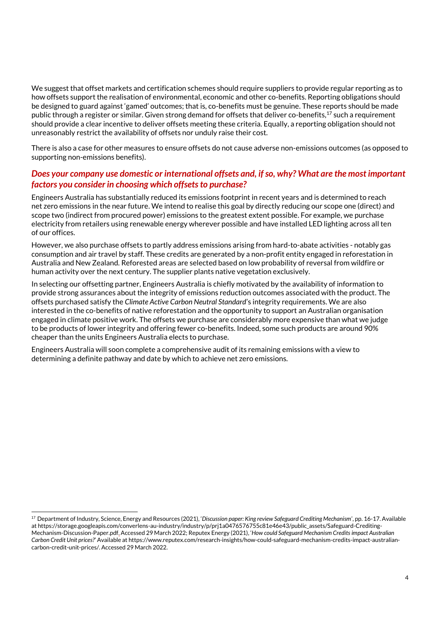We suggest that offset markets and certification schemes should require suppliers to provide regular reporting as to how offsets support the realisation of environmental, economic and other co-benefits. Reporting obligations should be designed to guard against 'gamed' outcomes; that is, co-benefits must be genuine. These reports should be made public through a register or similar. Given strong demand for offsets that deliver co-benefits,  $17$  such a requirement should provide a clear incentive to deliver offsets meeting these criteria. Equally, a reporting obligation should not unreasonably restrict the availability of offsets nor unduly raise their cost.

There is also a case for other measures to ensure offsets do not cause adverse non-emissions outcomes (as opposed to supporting non-emissions benefits).

## *Does your company use domestic or international offsets and, if so, why? What are the most important factors you consider in choosing which offsets to purchase?*

Engineers Australia has substantially reduced its emissions footprint in recent years and is determined to reach net zero emissions in the near future. We intend to realise this goal by directly reducing our scope one (direct) and scope two (indirect from procured power) emissions to the greatest extent possible. For example, we purchase electricity from retailers using renewable energy wherever possible and have installed LED lighting across all ten of our offices.

However, we also purchase offsets to partly address emissions arising from hard-to-abate activities - notably gas consumption and air travel by staff. These credits are generated by a non-profit entity engaged in reforestation in Australia and New Zealand. Reforested areas are selected based on low probability of reversal from wildfire or human activity over the next century. The supplier plants native vegetation exclusively.

In selecting our offsetting partner, Engineers Australia is chiefly motivated by the availability of information to provide strong assurances about the integrity of emissions reduction outcomes associated with the product. The offsets purchased satisfy the *Climate Active Carbon Neutral Standard*'s integrity requirements. We are also interested in the co-benefits of native reforestation and the opportunity to support an Australian organisation engaged in climate positive work. The offsets we purchase are considerably more expensive than what we judge to be products of lower integrity and offering fewer co-benefits. Indeed, some such products are around 90% cheaper than the units Engineers Australia elects to purchase.

Engineers Australia will soon complete a comprehensive audit of its remaining emissions with a view to determining a definite pathway and date by which to achieve net zero emissions.

<sup>17</sup> Department of Industry, Science, Energy and Resources (2021), '*Discussion paper: King review Safeguard Crediting Mechanism*', pp. 16-17. Available at https://storage.googleapis.com/converlens-au-industry/industry/p/prj1a0476576755c81e46e43/public\_assets/Safeguard-Crediting-Mechanism-Discussion-Paper.pdf. Accessed 29 March 2022; Reputex Energy (2021), '*How could Safeguard Mechanism Credits impact Australian Carbon Credit Unit prices?*' Available at https://www.reputex.com/research-insights/how-could-safeguard-mechanism-credits-impact-australiancarbon-credit-unit-prices/. Accessed 29 March 2022.